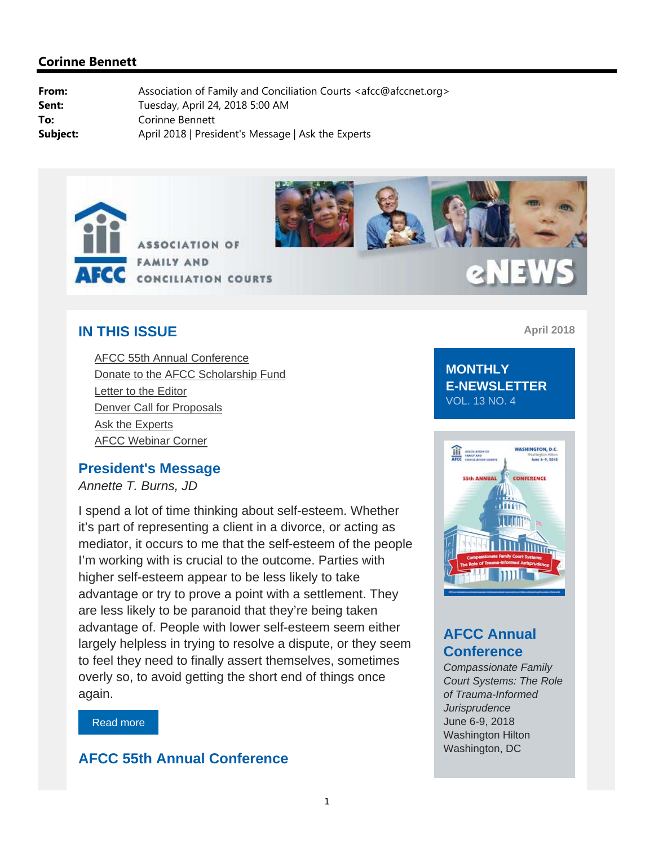



# 2 N EV

## **IN THIS ISSUE**

AFCC 55th Annual Conference Donate to the AFCC Scholarship Fund Letter to the Editor Denver Call for Proposals Ask the Experts AFCC Webinar Corner

#### **President's Message**

*Annette T. Burns, JD*

I spend a lot of time thinking about self-esteem. Whether it's part of representing a client in a divorce, or acting as mediator, it occurs to me that the self-esteem of the people I'm working with is crucial to the outcome. Parties with higher self-esteem appear to be less likely to take advantage or try to prove a point with a settlement. They are less likely to be paranoid that they're being taken advantage of. People with lower self-esteem seem either largely helpless in trying to resolve a dispute, or they seem to feel they need to finally assert themselves, sometimes overly so, to avoid getting the short end of things once again.

Read more

## **AFCC 55th Annual Conference**

**April 2018**

#### **MONTHLY E-NEWSLETTER**  VOL. 13 NO. 4



## **AFCC Annual Conference**

*Compassionate Family Court Systems: The Role of Trauma-Informed Jurisprudence* June 6-9, 2018 Washington Hilton Washington, DC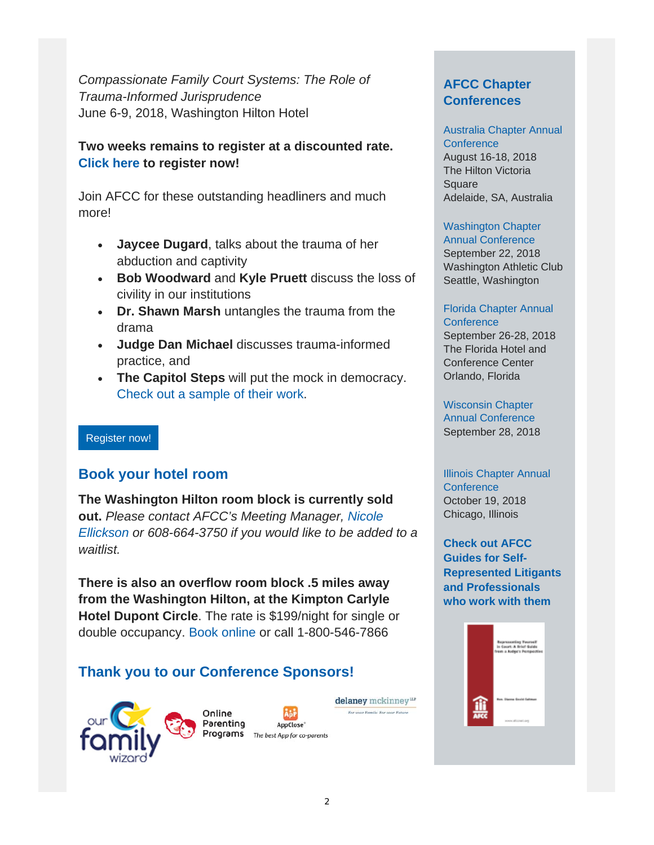*Compassionate Family Court Systems: The Role of Trauma-Informed Jurisprudence* June 6-9, 2018, Washington Hilton Hotel

#### **Two weeks remains to register at a discounted rate. Click here to register now!**

Join AFCC for these outstanding headliners and much more!

- **Jaycee Dugard**, talks about the trauma of her abduction and captivity
- **Bob Woodward** and **Kyle Pruett** discuss the loss of civility in our institutions
- **Dr. Shawn Marsh** untangles the trauma from the drama
- **Judge Dan Michael** discusses trauma-informed practice, and
- **The Capitol Steps** will put the mock in democracy. Check out a sample of their work.

#### Register now!

#### **Book your hotel room**

**The Washington Hilton room block is currently sold out.** *Please contact AFCC's Meeting Manager, Nicole Ellickson or 608-664-3750 if you would like to be added to a waitlist.*

**There is also an overflow room block .5 miles away from the Washington Hilton, at the Kimpton Carlyle Hotel Dupont Circle**. The rate is \$199/night for single or double occupancy. Book online or call 1-800-546-7866

## **Thank you to our Conference Sponsors!**





delaney mckinney<sup>LLP</sup> For your Family. For your Future.

#### **AFCC Chapter Conferences**

## Australia Chapter Annual **Conference**

August 16-18, 2018 The Hilton Victoria Square Adelaide, SA, Australia

## Washington Chapter

Annual Conference September 22, 2018 Washington Athletic Club Seattle, Washington

#### Florida Chapter Annual **Conference**

September 26-28, 2018 The Florida Hotel and Conference Center Orlando, Florida

Wisconsin Chapter Annual Conference September 28, 2018

#### Illinois Chapter Annual **Conference** October 19, 2018 Chicago, Illinois

**Check out AFCC Guides for Self-Represented Litigants and Professionals who work with them**

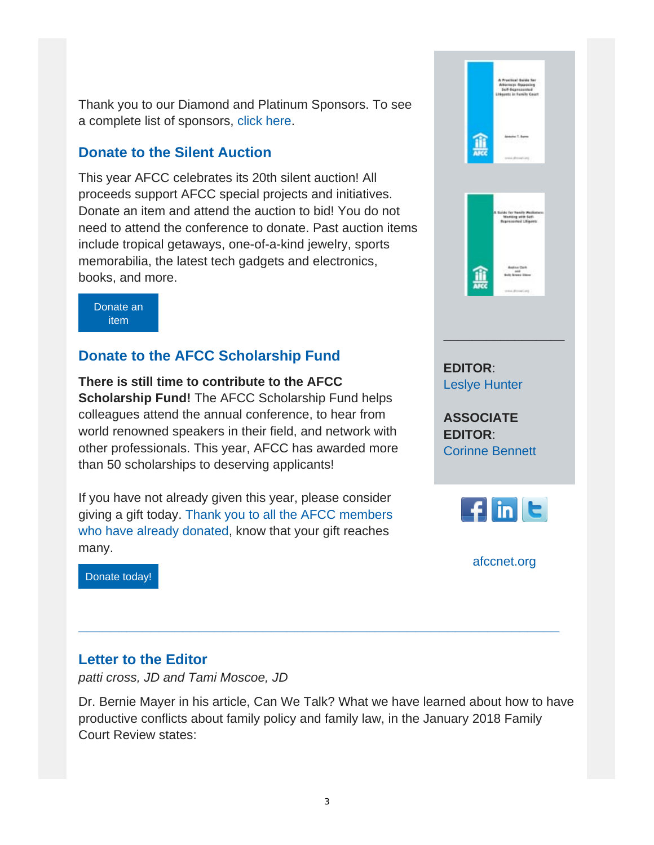Thank you to our Diamond and Platinum Sponsors. To see a complete list of sponsors, click here.

## **Donate to the Silent Auction**

This year AFCC celebrates its 20th silent auction! All proceeds support AFCC special projects and initiatives. Donate an item and attend the auction to bid! You do not need to attend the conference to donate. Past auction items include tropical getaways, one-of-a-kind jewelry, sports memorabilia, the latest tech gadgets and electronics, books, and more.

Donate an item

## **Donate to the AFCC Scholarship Fund**

**There is still time to contribute to the AFCC Scholarship Fund!** The AFCC Scholarship Fund helps colleagues attend the annual conference, to hear from world renowned speakers in their field, and network with other professionals. This year, AFCC has awarded more than 50 scholarships to deserving applicants!

If you have not already given this year, please consider giving a gift today. Thank you to all the AFCC members who have already donated, know that your gift reaches many.



Donate today!

## **Letter to the Editor**

*patti cross, JD and Tami Moscoe, JD*

Dr. Bernie Mayer in his article, Can We Talk? What we have learned about how to have productive conflicts about family policy and family law, in the January 2018 Family Court Review states:

**\_\_\_\_\_\_\_\_\_\_\_\_\_\_\_\_\_\_\_\_\_\_\_\_\_\_\_\_\_\_\_\_\_\_\_\_\_\_\_\_\_\_\_\_\_\_\_\_\_\_\_\_\_\_\_\_\_\_\_\_**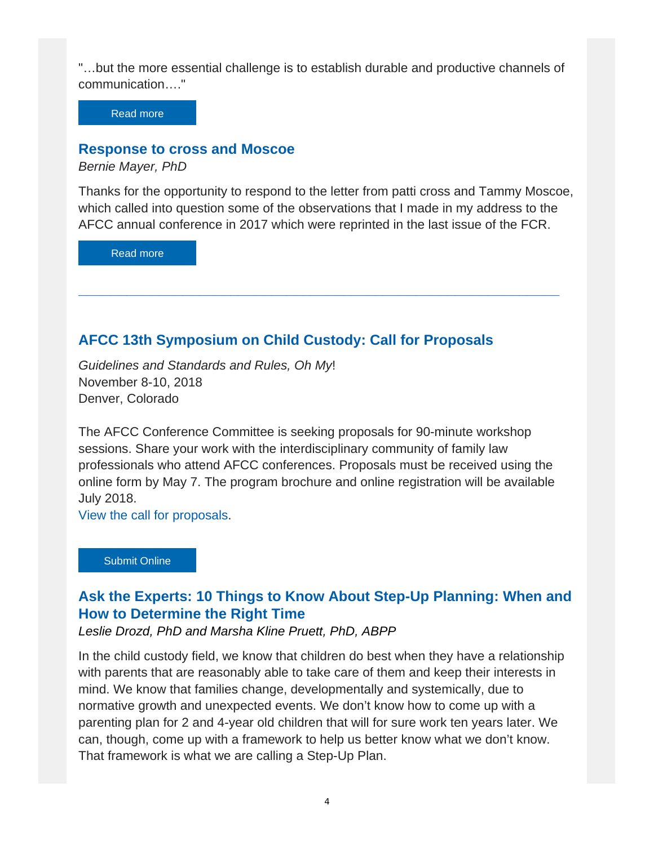"…but the more essential challenge is to establish durable and productive channels of communication…."

Read more

#### **Response to cross and Moscoe**

*Bernie Mayer, PhD*

Thanks for the opportunity to respond to the letter from patti cross and Tammy Moscoe, which called into question some of the observations that I made in my address to the AFCC annual conference in 2017 which were reprinted in the last issue of the FCR.

**\_\_\_\_\_\_\_\_\_\_\_\_\_\_\_\_\_\_\_\_\_\_\_\_\_\_\_\_\_\_\_\_\_\_\_\_\_\_\_\_\_\_\_\_\_\_\_\_\_\_\_\_\_\_\_\_\_\_\_\_** 

Read more

### **AFCC 13th Symposium on Child Custody: Call for Proposals**

*Guidelines and Standards and Rules, Oh My*! November 8-10, 2018 Denver, Colorado

The AFCC Conference Committee is seeking proposals for 90-minute workshop sessions. Share your work with the interdisciplinary community of family law professionals who attend AFCC conferences. Proposals must be received using the online form by May 7. The program brochure and online registration will be available July 2018.

View the call for proposals.

Submit Online

## **Ask the Experts: 10 Things to Know About Step-Up Planning: When and How to Determine the Right Time**

*Leslie Drozd, PhD and Marsha Kline Pruett, PhD, ABPP*

In the child custody field, we know that children do best when they have a relationship with parents that are reasonably able to take care of them and keep their interests in mind. We know that families change, developmentally and systemically, due to normative growth and unexpected events. We don't know how to come up with a parenting plan for 2 and 4-year old children that will for sure work ten years later. We can, though, come up with a framework to help us better know what we don't know. That framework is what we are calling a Step-Up Plan.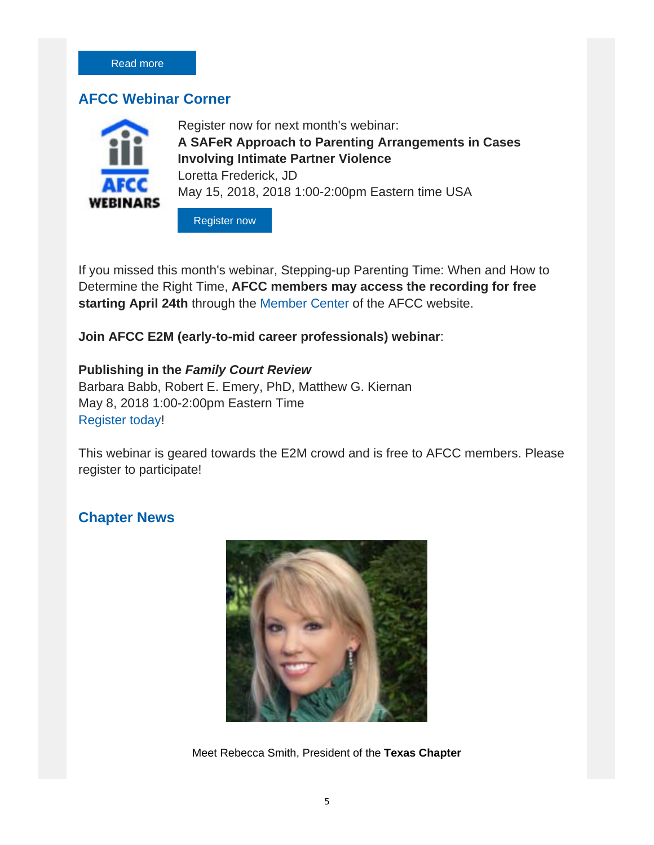#### **AFCC Webinar Corner**



Register now for next month's webinar: **A SAFeR Approach to Parenting Arrangements in Cases Involving Intimate Partner Violence** Loretta Frederick, JD May 15, 2018, 2018 1:00-2:00pm Eastern time USA

Register now

If you missed this month's webinar, Stepping-up Parenting Time: When and How to Determine the Right Time, **AFCC members may access the recording for free starting April 24th** through the Member Center of the AFCC website.

**Join AFCC E2M (early-to-mid career professionals) webinar**:

#### **Publishing in the** *Family Court Review*

Barbara Babb, Robert E. Emery, PhD, Matthew G. Kiernan May 8, 2018 1:00-2:00pm Eastern Time Register today!

This webinar is geared towards the E2M crowd and is free to AFCC members. Please register to participate!

#### **Chapter News**



Meet Rebecca Smith, President of the **Texas Chapter**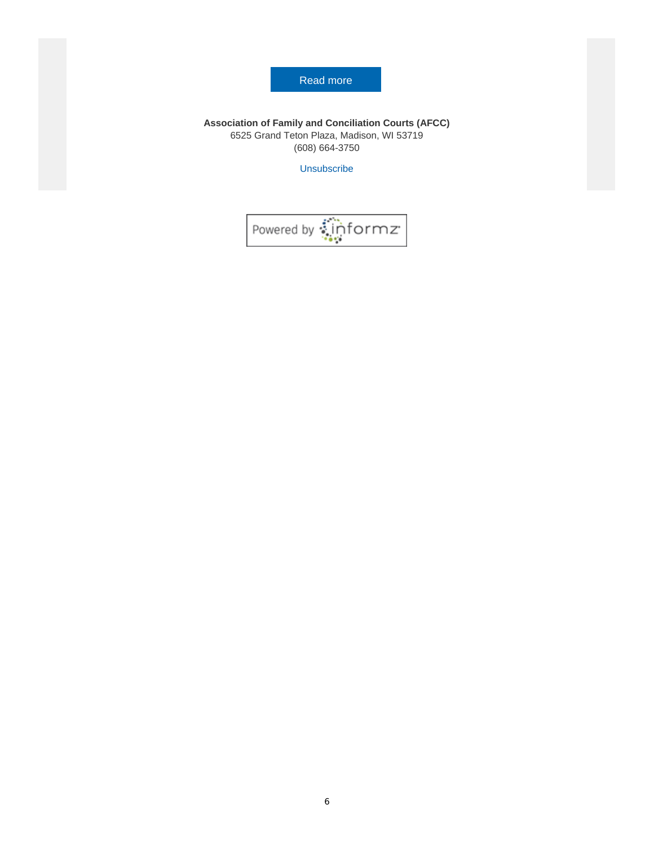#### Read more

**Association of Family and Conciliation Courts (AFCC)** 6525 Grand Teton Plaza, Madison, WI 53719 (608) 664-3750

Unsubscribe

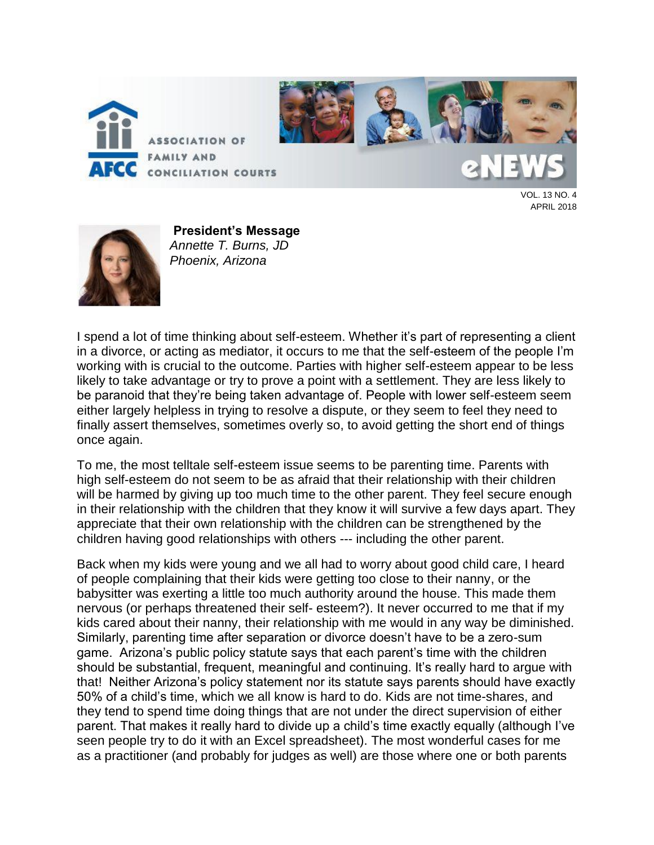

VOL. 13 NO. 4 APRIL 2018



**President's Message** *Annette T. Burns, JD Phoenix, Arizona*

I spend a lot of time thinking about self-esteem. Whether it's part of representing a client in a divorce, or acting as mediator, it occurs to me that the self-esteem of the people I'm working with is crucial to the outcome. Parties with higher self-esteem appear to be less likely to take advantage or try to prove a point with a settlement. They are less likely to be paranoid that they're being taken advantage of. People with lower self-esteem seem either largely helpless in trying to resolve a dispute, or they seem to feel they need to finally assert themselves, sometimes overly so, to avoid getting the short end of things once again.

To me, the most telltale self-esteem issue seems to be parenting time. Parents with high self-esteem do not seem to be as afraid that their relationship with their children will be harmed by giving up too much time to the other parent. They feel secure enough in their relationship with the children that they know it will survive a few days apart. They appreciate that their own relationship with the children can be strengthened by the children having good relationships with others --- including the other parent.

Back when my kids were young and we all had to worry about good child care, I heard of people complaining that their kids were getting too close to their nanny, or the babysitter was exerting a little too much authority around the house. This made them nervous (or perhaps threatened their self- esteem?). It never occurred to me that if my kids cared about their nanny, their relationship with me would in any way be diminished. Similarly, parenting time after separation or divorce doesn't have to be a zero-sum game. Arizona's public policy statute says that each parent's time with the children should be substantial, frequent, meaningful and continuing. It's really hard to argue with that! Neither Arizona's policy statement nor its statute says parents should have exactly 50% of a child's time, which we all know is hard to do. Kids are not time-shares, and they tend to spend time doing things that are not under the direct supervision of either parent. That makes it really hard to divide up a child's time exactly equally (although I've seen people try to do it with an Excel spreadsheet). The most wonderful cases for me as a practitioner (and probably for judges as well) are those where one or both parents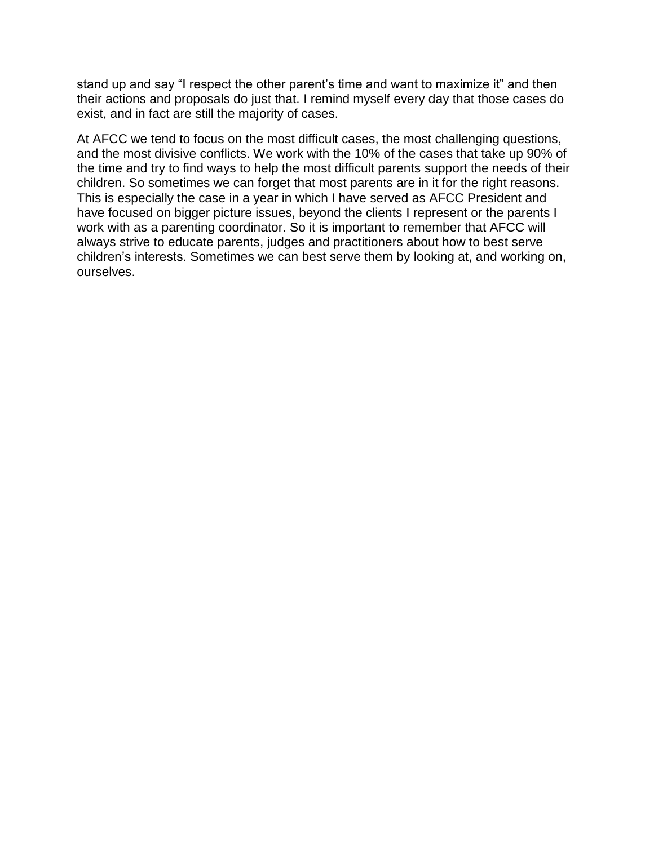stand up and say "I respect the other parent's time and want to maximize it" and then their actions and proposals do just that. I remind myself every day that those cases do exist, and in fact are still the majority of cases.

At AFCC we tend to focus on the most difficult cases, the most challenging questions, and the most divisive conflicts. We work with the 10% of the cases that take up 90% of the time and try to find ways to help the most difficult parents support the needs of their children. So sometimes we can forget that most parents are in it for the right reasons. This is especially the case in a year in which I have served as AFCC President and have focused on bigger picture issues, beyond the clients I represent or the parents I work with as a parenting coordinator. So it is important to remember that AFCC will always strive to educate parents, judges and practitioners about how to best serve children's interests. Sometimes we can best serve them by looking at, and working on, ourselves.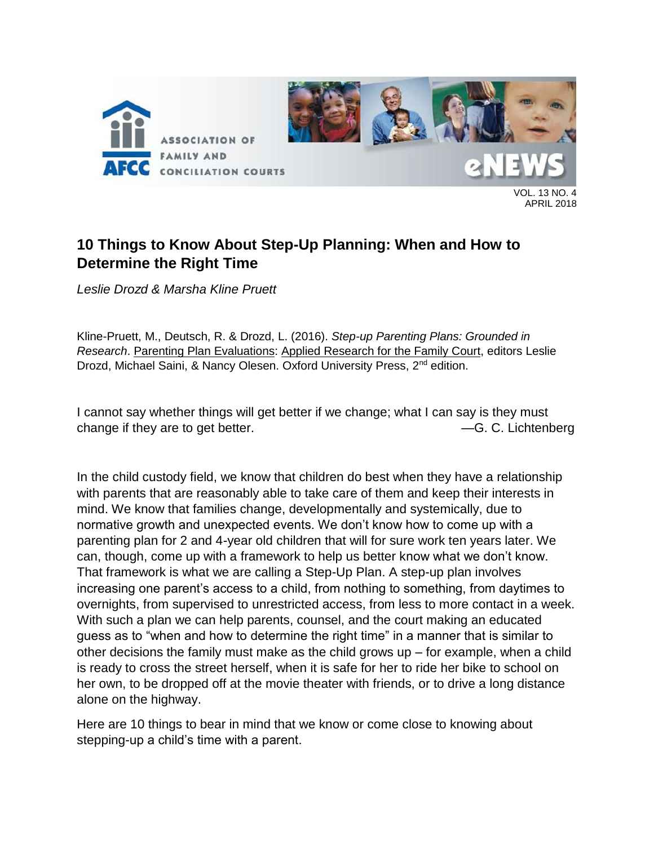

VOL. 13 NO. 4 APRIL 2018

## **10 Things to Know About Step-Up Planning: When and How to Determine the Right Time**

*Leslie Drozd & Marsha Kline Pruett*

Kline-Pruett, M., Deutsch, R. & Drozd, L. (2016). *Step-up Parenting Plans: Grounded in Research*. Parenting Plan Evaluations: Applied Research for the Family Court, editors Leslie Drozd, Michael Saini, & Nancy Olesen. Oxford University Press, 2<sup>nd</sup> edition.

I cannot say whether things will get better if we change; what I can say is they must change if they are to get better.  $-$ G. C. Lichtenberg

In the child custody field, we know that children do best when they have a relationship with parents that are reasonably able to take care of them and keep their interests in mind. We know that families change, developmentally and systemically, due to normative growth and unexpected events. We don't know how to come up with a parenting plan for 2 and 4-year old children that will for sure work ten years later. We can, though, come up with a framework to help us better know what we don't know. That framework is what we are calling a Step-Up Plan. A step-up plan involves increasing one parent's access to a child, from nothing to something, from daytimes to overnights, from supervised to unrestricted access, from less to more contact in a week. With such a plan we can help parents, counsel, and the court making an educated guess as to "when and how to determine the right time" in a manner that is similar to other decisions the family must make as the child grows up – for example, when a child is ready to cross the street herself, when it is safe for her to ride her bike to school on her own, to be dropped off at the movie theater with friends, or to drive a long distance alone on the highway.

Here are 10 things to bear in mind that we know or come close to knowing about stepping-up a child's time with a parent.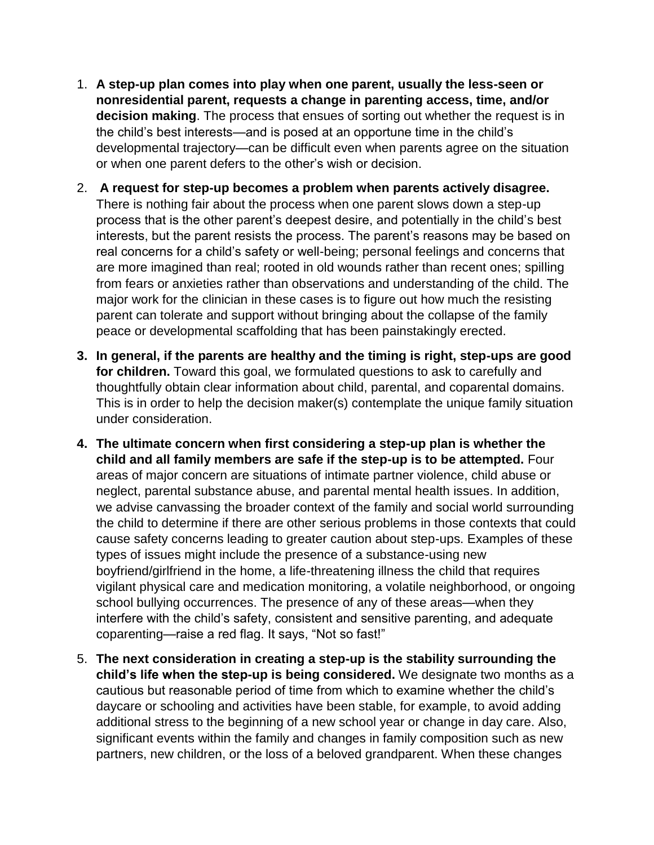- 1. **A step-up plan comes into play when one parent, usually the less-seen or nonresidential parent, requests a change in parenting access, time, and/or decision making**. The process that ensues of sorting out whether the request is in the child's best interests—and is posed at an opportune time in the child's developmental trajectory—can be difficult even when parents agree on the situation or when one parent defers to the other's wish or decision.
- 2. **A request for step-up becomes a problem when parents actively disagree.**  There is nothing fair about the process when one parent slows down a step-up process that is the other parent's deepest desire, and potentially in the child's best interests, but the parent resists the process. The parent's reasons may be based on real concerns for a child's safety or well-being; personal feelings and concerns that are more imagined than real; rooted in old wounds rather than recent ones; spilling from fears or anxieties rather than observations and understanding of the child. The major work for the clinician in these cases is to figure out how much the resisting parent can tolerate and support without bringing about the collapse of the family peace or developmental scaffolding that has been painstakingly erected.
- **3. In general, if the parents are healthy and the timing is right, step-ups are good for children.** Toward this goal, we formulated questions to ask to carefully and thoughtfully obtain clear information about child, parental, and coparental domains. This is in order to help the decision maker(s) contemplate the unique family situation under consideration.
- **4. The ultimate concern when first considering a step-up plan is whether the child and all family members are safe if the step-up is to be attempted.** Four areas of major concern are situations of intimate partner violence, child abuse or neglect, parental substance abuse, and parental mental health issues. In addition, we advise canvassing the broader context of the family and social world surrounding the child to determine if there are other serious problems in those contexts that could cause safety concerns leading to greater caution about step-ups. Examples of these types of issues might include the presence of a substance-using new boyfriend/girlfriend in the home, a life-threatening illness the child that requires vigilant physical care and medication monitoring, a volatile neighborhood, or ongoing school bullying occurrences. The presence of any of these areas—when they interfere with the child's safety, consistent and sensitive parenting, and adequate coparenting—raise a red flag. It says, "Not so fast!"
- 5. **The next consideration in creating a step-up is the stability surrounding the child's life when the step-up is being considered.** We designate two months as a cautious but reasonable period of time from which to examine whether the child's daycare or schooling and activities have been stable, for example, to avoid adding additional stress to the beginning of a new school year or change in day care. Also, significant events within the family and changes in family composition such as new partners, new children, or the loss of a beloved grandparent. When these changes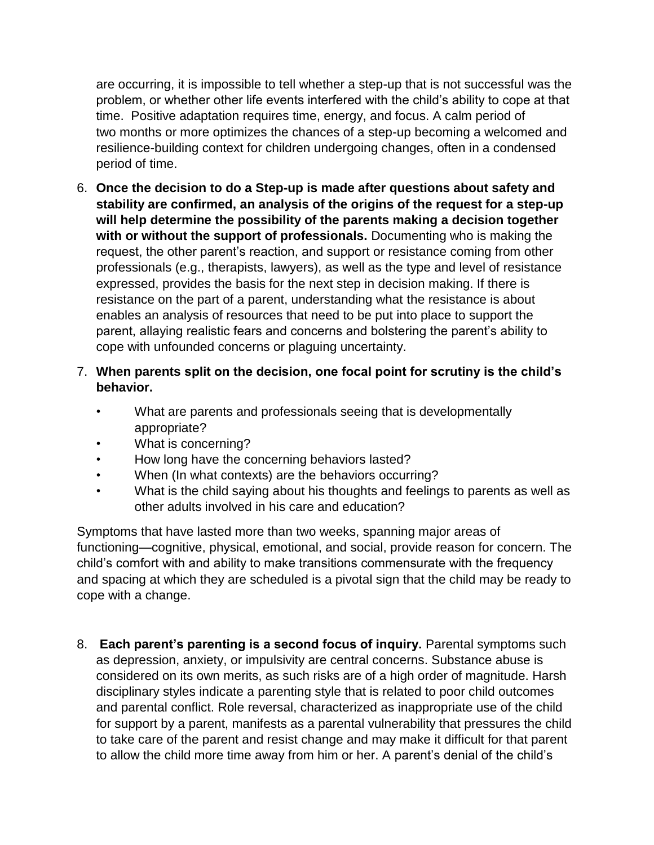are occurring, it is impossible to tell whether a step-up that is not successful was the problem, or whether other life events interfered with the child's ability to cope at that time. Positive adaptation requires time, energy, and focus. A calm period of two months or more optimizes the chances of a step-up becoming a welcomed and resilience-building context for children undergoing changes, often in a condensed period of time.

- 6. **Once the decision to do a Step-up is made after questions about safety and stability are confirmed, an analysis of the origins of the request for a step-up will help determine the possibility of the parents making a decision together with or without the support of professionals.** Documenting who is making the request, the other parent's reaction, and support or resistance coming from other professionals (e.g., therapists, lawyers), as well as the type and level of resistance expressed, provides the basis for the next step in decision making. If there is resistance on the part of a parent, understanding what the resistance is about enables an analysis of resources that need to be put into place to support the parent, allaying realistic fears and concerns and bolstering the parent's ability to cope with unfounded concerns or plaguing uncertainty.
- 7. **When parents split on the decision, one focal point for scrutiny is the child's behavior.**
	- What are parents and professionals seeing that is developmentally appropriate?
	- What is concerning?
	- How long have the concerning behaviors lasted?
	- When (In what contexts) are the behaviors occurring?
	- What is the child saying about his thoughts and feelings to parents as well as other adults involved in his care and education?

Symptoms that have lasted more than two weeks, spanning major areas of functioning—cognitive, physical, emotional, and social, provide reason for concern. The child's comfort with and ability to make transitions commensurate with the frequency and spacing at which they are scheduled is a pivotal sign that the child may be ready to cope with a change.

8. **Each parent's parenting is a second focus of inquiry.** Parental symptoms such as depression, anxiety, or impulsivity are central concerns. Substance abuse is considered on its own merits, as such risks are of a high order of magnitude. Harsh disciplinary styles indicate a parenting style that is related to poor child outcomes and parental conflict. Role reversal, characterized as inappropriate use of the child for support by a parent, manifests as a parental vulnerability that pressures the child to take care of the parent and resist change and may make it difficult for that parent to allow the child more time away from him or her. A parent's denial of the child's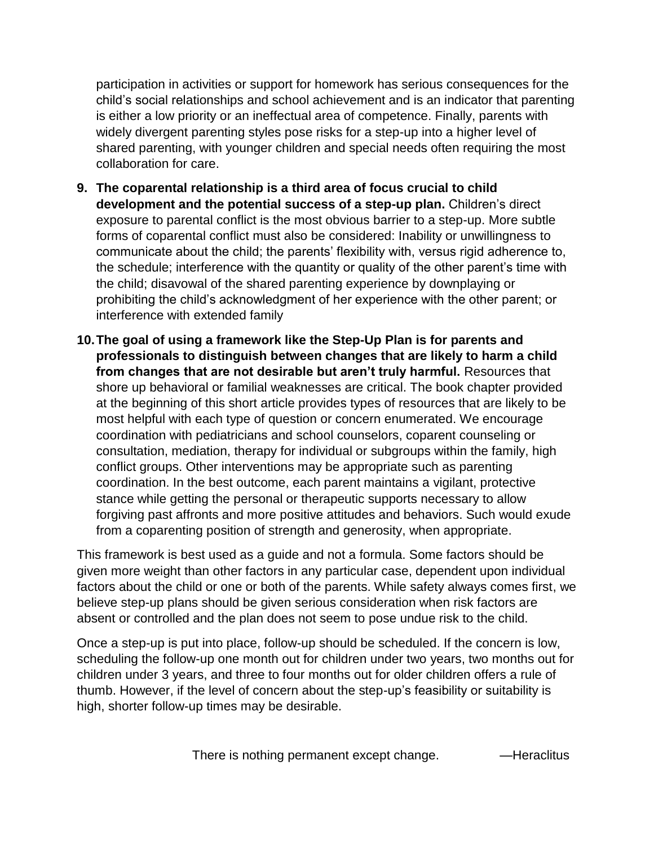participation in activities or support for homework has serious consequences for the child's social relationships and school achievement and is an indicator that parenting is either a low priority or an ineffectual area of competence. Finally, parents with widely divergent parenting styles pose risks for a step-up into a higher level of shared parenting, with younger children and special needs often requiring the most collaboration for care.

- **9. The coparental relationship is a third area of focus crucial to child development and the potential success of a step-up plan.** Children's direct exposure to parental conflict is the most obvious barrier to a step-up. More subtle forms of coparental conflict must also be considered: Inability or unwillingness to communicate about the child; the parents' flexibility with, versus rigid adherence to, the schedule; interference with the quantity or quality of the other parent's time with the child; disavowal of the shared parenting experience by downplaying or prohibiting the child's acknowledgment of her experience with the other parent; or interference with extended family
- **10.The goal of using a framework like the Step-Up Plan is for parents and professionals to distinguish between changes that are likely to harm a child from changes that are not desirable but aren't truly harmful.** Resources that shore up behavioral or familial weaknesses are critical. The book chapter provided at the beginning of this short article provides types of resources that are likely to be most helpful with each type of question or concern enumerated. We encourage coordination with pediatricians and school counselors, coparent counseling or consultation, mediation, therapy for individual or subgroups within the family, high conflict groups. Other interventions may be appropriate such as parenting coordination. In the best outcome, each parent maintains a vigilant, protective stance while getting the personal or therapeutic supports necessary to allow forgiving past affronts and more positive attitudes and behaviors. Such would exude from a coparenting position of strength and generosity, when appropriate.

This framework is best used as a guide and not a formula. Some factors should be given more weight than other factors in any particular case, dependent upon individual factors about the child or one or both of the parents. While safety always comes first, we believe step-up plans should be given serious consideration when risk factors are absent or controlled and the plan does not seem to pose undue risk to the child.

Once a step-up is put into place, follow-up should be scheduled. If the concern is low, scheduling the follow-up one month out for children under two years, two months out for children under 3 years, and three to four months out for older children offers a rule of thumb. However, if the level of concern about the step-up's feasibility or suitability is high, shorter follow-up times may be desirable.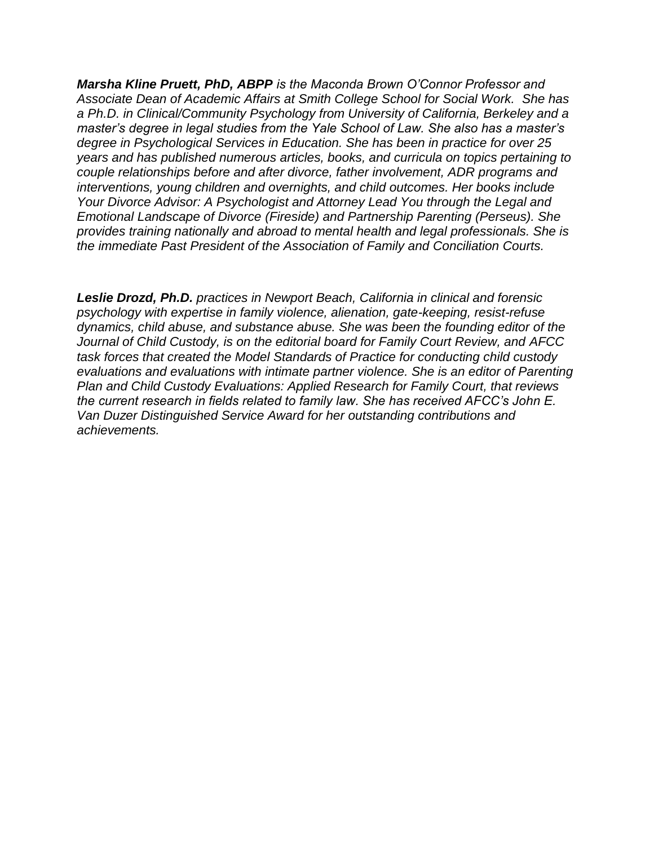*Marsha Kline Pruett, PhD, ABPP is the Maconda Brown O'Connor Professor and Associate Dean of Academic Affairs at Smith College School for Social Work. She has a Ph.D. in Clinical/Community Psychology from University of California, Berkeley and a master's degree in legal studies from the Yale School of Law. She also has a master's degree in Psychological Services in Education. She has been in practice for over 25 years and has published numerous articles, books, and curricula on topics pertaining to couple relationships before and after divorce, father involvement, ADR programs and interventions, young children and overnights, and child outcomes. Her books include Your Divorce Advisor: A Psychologist and Attorney Lead You through the Legal and Emotional Landscape of Divorce (Fireside) and Partnership Parenting (Perseus). She provides training nationally and abroad to mental health and legal professionals. She is the immediate Past President of the Association of Family and Conciliation Courts.* 

*Leslie Drozd, Ph.D. practices in Newport Beach, California in clinical and forensic psychology with expertise in family violence, alienation, gate-keeping, resist-refuse dynamics, child abuse, and substance abuse. She was been the founding editor of the Journal of Child Custody, is on the editorial board for Family Court Review, and AFCC task forces that created the Model Standards of Practice for conducting child custody evaluations and evaluations with intimate partner violence. She is an editor of Parenting Plan and Child Custody Evaluations: Applied Research for Family Court, that reviews the current research in fields related to family law. She has received AFCC's John E. Van Duzer Distinguished Service Award for her outstanding contributions and achievements.*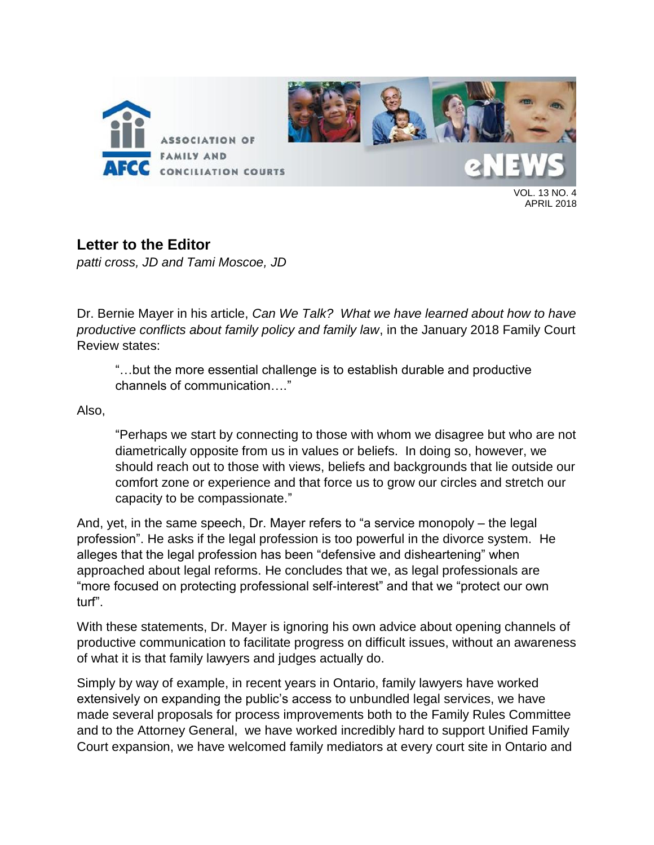

VOL. 13 NO. 4 APRIL 2018

## **Letter to the Editor**

*patti cross, JD and Tami Moscoe, JD*

Dr. Bernie Mayer in his article, *Can We Talk? What we have learned about how to have productive conflicts about family policy and family law*, in the January 2018 Family Court Review states:

"…but the more essential challenge is to establish durable and productive channels of communication…."

Also,

"Perhaps we start by connecting to those with whom we disagree but who are not diametrically opposite from us in values or beliefs. In doing so, however, we should reach out to those with views, beliefs and backgrounds that lie outside our comfort zone or experience and that force us to grow our circles and stretch our capacity to be compassionate."

And, yet, in the same speech, Dr. Mayer refers to "a service monopoly – the legal profession". He asks if the legal profession is too powerful in the divorce system. He alleges that the legal profession has been "defensive and disheartening" when approached about legal reforms. He concludes that we, as legal professionals are "more focused on protecting professional self-interest" and that we "protect our own turf".

With these statements, Dr. Mayer is ignoring his own advice about opening channels of productive communication to facilitate progress on difficult issues, without an awareness of what it is that family lawyers and judges actually do.

Simply by way of example, in recent years in Ontario, family lawyers have worked extensively on expanding the public's access to unbundled legal services, we have made several proposals for process improvements both to the Family Rules Committee and to the Attorney General, we have worked incredibly hard to support Unified Family Court expansion, we have welcomed family mediators at every court site in Ontario and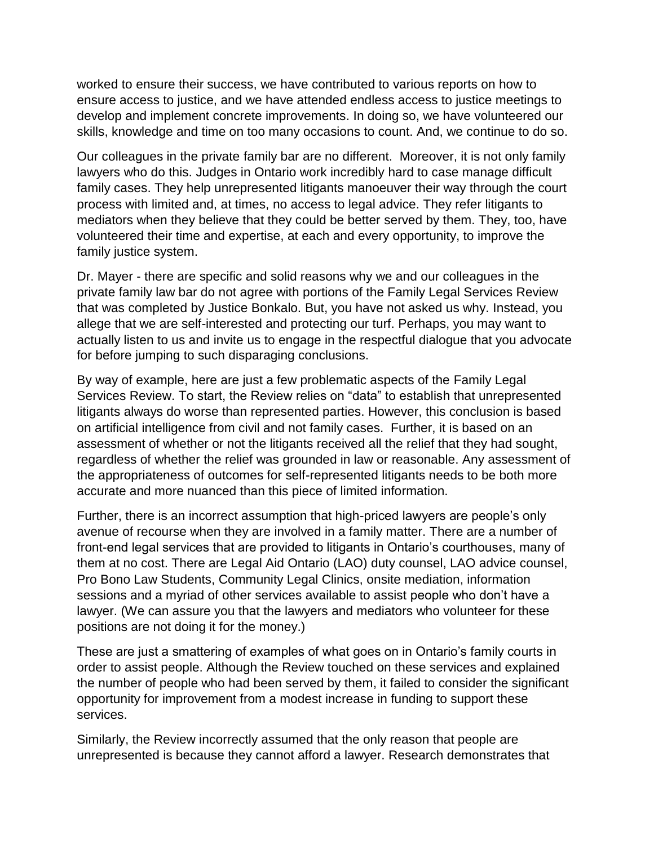worked to ensure their success, we have contributed to various reports on how to ensure access to justice, and we have attended endless access to justice meetings to develop and implement concrete improvements. In doing so, we have volunteered our skills, knowledge and time on too many occasions to count. And, we continue to do so.

Our colleagues in the private family bar are no different. Moreover, it is not only family lawyers who do this. Judges in Ontario work incredibly hard to case manage difficult family cases. They help unrepresented litigants manoeuver their way through the court process with limited and, at times, no access to legal advice. They refer litigants to mediators when they believe that they could be better served by them. They, too, have volunteered their time and expertise, at each and every opportunity, to improve the family justice system.

Dr. Mayer - there are specific and solid reasons why we and our colleagues in the private family law bar do not agree with portions of the Family Legal Services Review that was completed by Justice Bonkalo. But, you have not asked us why. Instead, you allege that we are self-interested and protecting our turf. Perhaps, you may want to actually listen to us and invite us to engage in the respectful dialogue that you advocate for before jumping to such disparaging conclusions.

By way of example, here are just a few problematic aspects of the Family Legal Services Review. To start, the Review relies on "data" to establish that unrepresented litigants always do worse than represented parties. However, this conclusion is based on artificial intelligence from civil and not family cases. Further, it is based on an assessment of whether or not the litigants received all the relief that they had sought, regardless of whether the relief was grounded in law or reasonable. Any assessment of the appropriateness of outcomes for self-represented litigants needs to be both more accurate and more nuanced than this piece of limited information.

Further, there is an incorrect assumption that high-priced lawyers are people's only avenue of recourse when they are involved in a family matter. There are a number of front-end legal services that are provided to litigants in Ontario's courthouses, many of them at no cost. There are Legal Aid Ontario (LAO) duty counsel, LAO advice counsel, Pro Bono Law Students, Community Legal Clinics, onsite mediation, information sessions and a myriad of other services available to assist people who don't have a lawyer. (We can assure you that the lawyers and mediators who volunteer for these positions are not doing it for the money.)

These are just a smattering of examples of what goes on in Ontario's family courts in order to assist people. Although the Review touched on these services and explained the number of people who had been served by them, it failed to consider the significant opportunity for improvement from a modest increase in funding to support these services.

Similarly, the Review incorrectly assumed that the only reason that people are unrepresented is because they cannot afford a lawyer. Research demonstrates that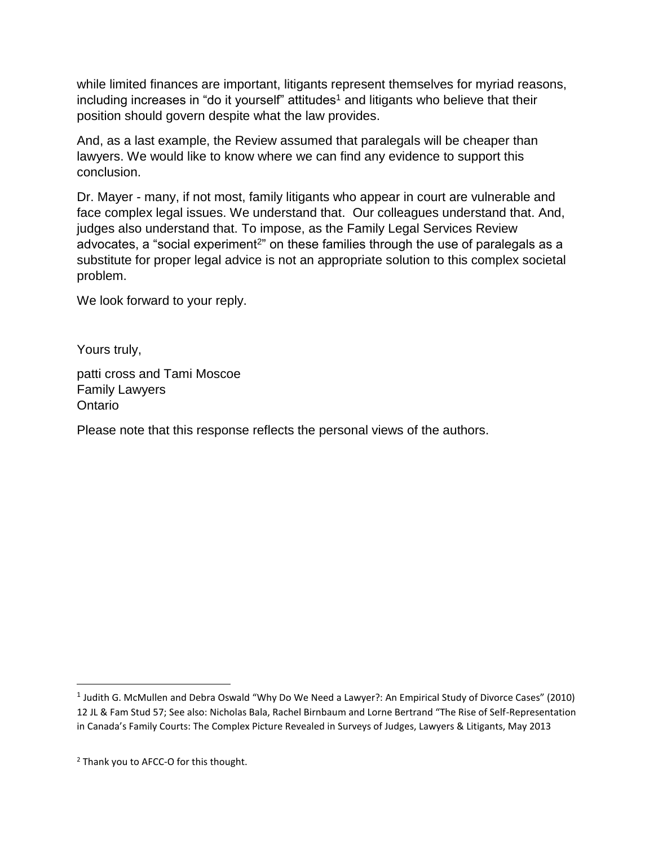while limited finances are important, litigants represent themselves for myriad reasons,  $including$  including increases in "do it yourself" attitudes<sup>1</sup> and litigants who believe that their position should govern despite what the law provides.

And, as a last example, the Review assumed that paralegals will be cheaper than lawyers. We would like to know where we can find any evidence to support this conclusion.

Dr. Mayer - many, if not most, family litigants who appear in court are vulnerable and face complex legal issues. We understand that. Our colleagues understand that. And, judges also understand that. To impose, as the Family Legal Services Review advocates, a "social experiment<sup>2</sup>" on these families through the use of paralegals as a substitute for proper legal advice is not an appropriate solution to this complex societal problem.

We look forward to your reply.

Yours truly,

 $\overline{a}$ 

patti cross and Tami Moscoe Family Lawyers Ontario

Please note that this response reflects the personal views of the authors.

<sup>&</sup>lt;sup>1</sup> Judith G. McMullen and Debra Oswald "Why Do We Need a Lawyer?: An Empirical Study of Divorce Cases" (2010) 12 JL & Fam Stud 57; See also: Nicholas Bala, Rachel Birnbaum and Lorne Bertrand "The Rise of Self-Representation in Canada's Family Courts: The Complex Picture Revealed in Surveys of Judges, Lawyers & Litigants, May 2013

<sup>2</sup> Thank you to AFCC-O for this thought.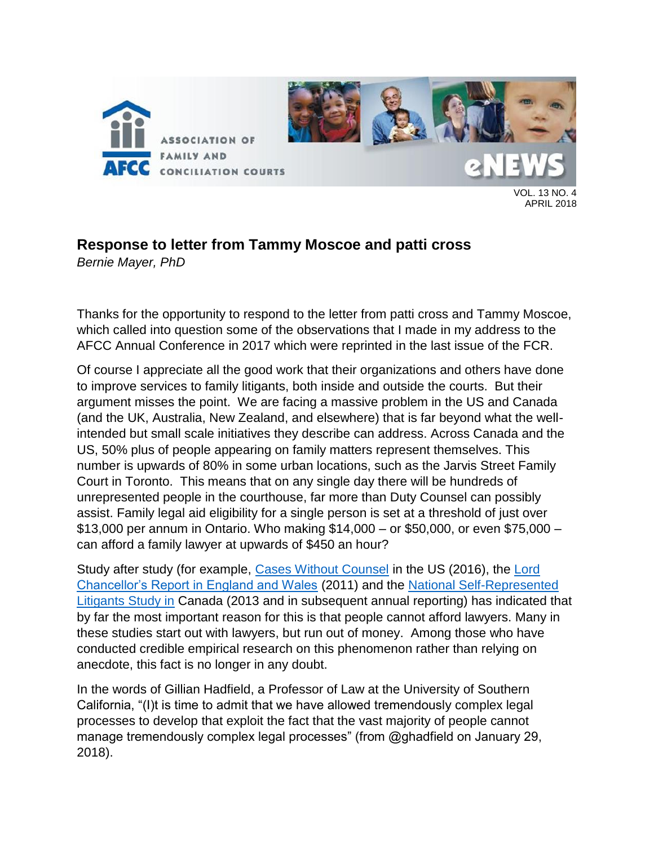

APRIL 2018

## **Response to letter from Tammy Moscoe and patti cross**

*Bernie Mayer, PhD*

Thanks for the opportunity to respond to the letter from patti cross and Tammy Moscoe, which called into question some of the observations that I made in my address to the AFCC Annual Conference in 2017 which were reprinted in the last issue of the FCR.

Of course I appreciate all the good work that their organizations and others have done to improve services to family litigants, both inside and outside the courts. But their argument misses the point. We are facing a massive problem in the US and Canada (and the UK, Australia, New Zealand, and elsewhere) that is far beyond what the wellintended but small scale initiatives they describe can address. Across Canada and the US, 50% plus of people appearing on family matters represent themselves. This number is upwards of 80% in some urban locations, such as the Jarvis Street Family Court in Toronto. This means that on any single day there will be hundreds of unrepresented people in the courthouse, far more than Duty Counsel can possibly assist. Family legal aid eligibility for a single person is set at a threshold of just over \$13,000 per annum in Ontario. Who making \$14,000 – or \$50,000, or even \$75,000 – can afford a family lawyer at upwards of \$450 an hour?

Study after study (for example, [Cases Without Counsel](http://iaals.du.edu/honoring-families/projects/ensuring-access-family-justice-system/cases-without-counsel) in the US (2016), the [Lord](https://www.judiciary.gov.uk/wp-content/uploads/2014/05/report-on-access-to-justice-for-litigants-in-person-nov2011.pdf)  [Chancellor's Report in England and Wales](https://www.judiciary.gov.uk/wp-content/uploads/2014/05/report-on-access-to-justice-for-litigants-in-person-nov2011.pdf) (2011) and the [National Self-Represented](https://representingyourselfcanada.com/wp-content/uploads/2016/09/srlreportfinal.pdf)  [Litigants Study in](https://representingyourselfcanada.com/wp-content/uploads/2016/09/srlreportfinal.pdf) Canada (2013 and in subsequent annual reporting) has indicated that by far the most important reason for this is that people cannot afford lawyers. Many in these studies start out with lawyers, but run out of money. Among those who have conducted credible empirical research on this phenomenon rather than relying on anecdote, this fact is no longer in any doubt.

In the words of Gillian Hadfield, a Professor of Law at the University of Southern California, "(I)t is time to admit that we have allowed tremendously complex legal processes to develop that exploit the fact that the vast majority of people cannot manage tremendously complex legal processes" (from @ghadfield on January 29, 2018).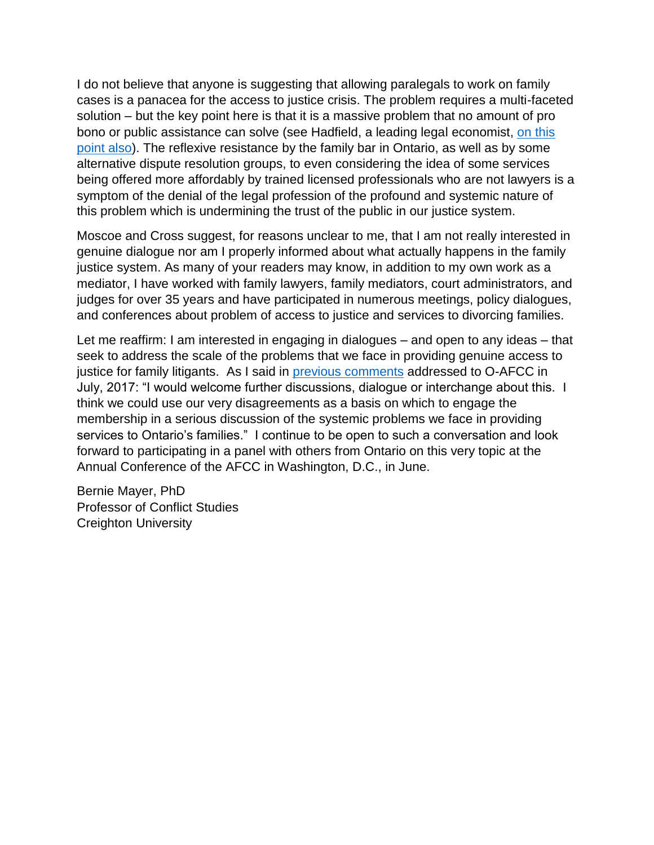I do not believe that anyone is suggesting that allowing paralegals to work on family cases is a panacea for the access to justice crisis. The problem requires a multi-faceted solution – but the key point here is that it is a massive problem that no amount of pro bono or public assistance can solve (see Hadfield, a leading legal economist, [on this](https://www.nycourts.gov/accesstojusticecommission/PDF/CLS-TaskForceREPORT_Nov-2012.pdf)  [point also\)](https://www.nycourts.gov/accesstojusticecommission/PDF/CLS-TaskForceREPORT_Nov-2012.pdf). The reflexive resistance by the family bar in Ontario, as well as by some alternative dispute resolution groups, to even considering the idea of some services being offered more affordably by trained licensed professionals who are not lawyers is a symptom of the denial of the legal profession of the profound and systemic nature of this problem which is undermining the trust of the public in our justice system.

Moscoe and Cross suggest, for reasons unclear to me, that I am not really interested in genuine dialogue nor am I properly informed about what actually happens in the family justice system. As many of your readers may know, in addition to my own work as a mediator, I have worked with family lawyers, family mediators, court administrators, and judges for over 35 years and have participated in numerous meetings, policy dialogues, and conferences about problem of access to justice and services to divorcing families.

Let me reaffirm: I am interested in engaging in dialogues – and open to any ideas – that seek to address the scale of the problems that we face in providing genuine access to justice for family litigants. As I said in [previous comments](http://www.adrhub.com/profiles/blogs/response-to-afcc-ontario-s-comments-on-the-bonkalo-report) addressed to O-AFCC in July, 2017: "I would welcome further discussions, dialogue or interchange about this. I think we could use our very disagreements as a basis on which to engage the membership in a serious discussion of the systemic problems we face in providing services to Ontario's families." I continue to be open to such a conversation and look forward to participating in a panel with others from Ontario on this very topic at the Annual Conference of the AFCC in Washington, D.C., in June.

Bernie Mayer, PhD Professor of Conflict Studies Creighton University